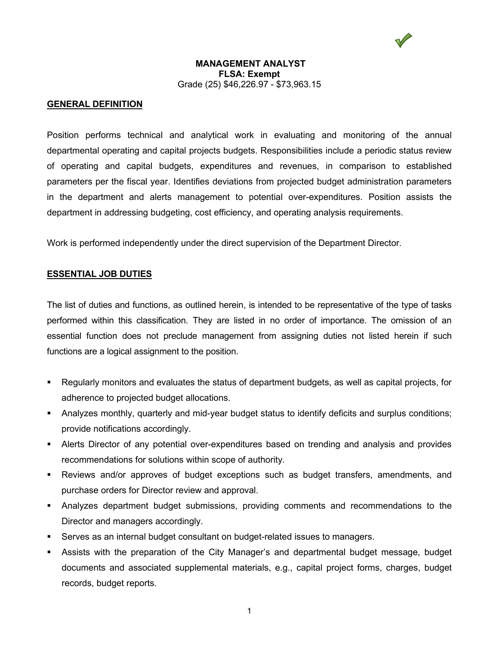

## **GENERAL DEFINITION**

Position performs technical and analytical work in evaluating and monitoring of the annual departmental operating and capital projects budgets. Responsibilities include a periodic status review of operating and capital budgets, expenditures and revenues, in comparison to established parameters per the fiscal year. Identifies deviations from projected budget administration parameters in the department and alerts management to potential over-expenditures. Position assists the department in addressing budgeting, cost efficiency, and operating analysis requirements.

Work is performed independently under the direct supervision of the Department Director.

#### **ESSENTIAL JOB DUTIES**

The list of duties and functions, as outlined herein, is intended to be representative of the type of tasks performed within this classification. They are listed in no order of importance. The omission of an essential function does not preclude management from assigning duties not listed herein if such functions are a logical assignment to the position.

- Regularly monitors and evaluates the status of department budgets, as well as capital projects, for adherence to projected budget allocations.
- Analyzes monthly, quarterly and mid-year budget status to identify deficits and surplus conditions; provide notifications accordingly.
- Alerts Director of any potential over-expenditures based on trending and analysis and provides recommendations for solutions within scope of authority.
- Reviews and/or approves of budget exceptions such as budget transfers, amendments, and purchase orders for Director review and approval.
- Analyzes department budget submissions, providing comments and recommendations to the Director and managers accordingly.
- Serves as an internal budget consultant on budget-related issues to managers.
- Assists with the preparation of the City Manager's and departmental budget message, budget documents and associated supplemental materials, e.g., capital project forms, charges, budget records, budget reports.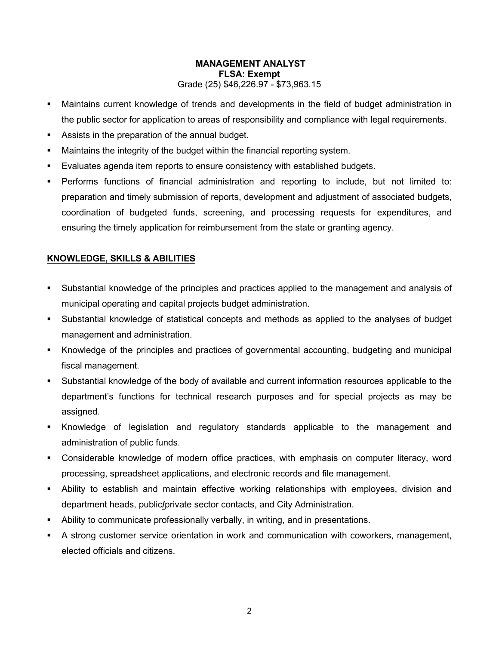- Maintains current knowledge of trends and developments in the field of budget administration in the public sector for application to areas of responsibility and compliance with legal requirements.
- Assists in the preparation of the annual budget.
- Maintains the integrity of the budget within the financial reporting system.
- Evaluates agenda item reports to ensure consistency with established budgets.
- Performs functions of financial administration and reporting to include, but not limited to: preparation and timely submission of reports, development and adjustment of associated budgets, coordination of budgeted funds, screening, and processing requests for expenditures, and ensuring the timely application for reimbursement from the state or granting agency.

# **KNOWLEDGE, SKILLS & ABILITIES**

- Substantial knowledge of the principles and practices applied to the management and analysis of municipal operating and capital projects budget administration.
- Substantial knowledge of statistical concepts and methods as applied to the analyses of budget management and administration.
- Knowledge of the principles and practices of governmental accounting, budgeting and municipal fiscal management.
- Substantial knowledge of the body of available and current information resources applicable to the department's functions for technical research purposes and for special projects as may be assigned.
- Knowledge of legislation and regulatory standards applicable to the management and administration of public funds.
- Considerable knowledge of modern office practices, with emphasis on computer literacy, word processing, spreadsheet applications, and electronic records and file management.
- Ability to establish and maintain effective working relationships with employees, division and department heads, public**/**private sector contacts, and City Administration.
- Ability to communicate professionally verbally, in writing, and in presentations.
- A strong customer service orientation in work and communication with coworkers, management, elected officials and citizens.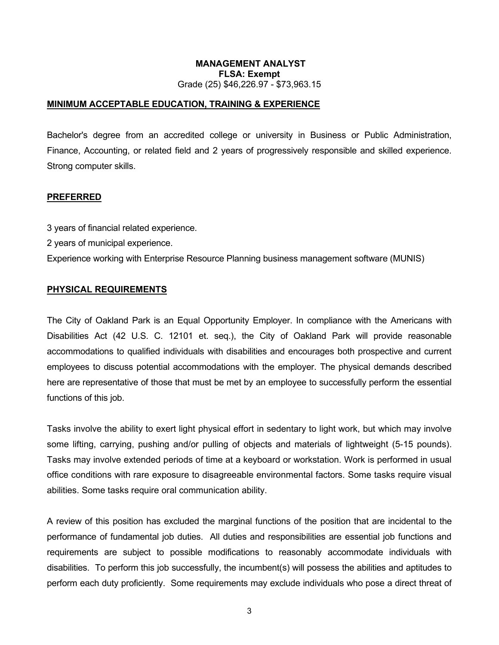## **MINIMUM ACCEPTABLE EDUCATION, TRAINING & EXPERIENCE**

Bachelor's degree from an accredited college or university in Business or Public Administration, Finance, Accounting, or related field and 2 years of progressively responsible and skilled experience. Strong computer skills.

#### **PREFERRED**

3 years of financial related experience.

2 years of municipal experience.

Experience working with Enterprise Resource Planning business management software (MUNIS)

## **PHYSICAL REQUIREMENTS**

The City of Oakland Park is an Equal Opportunity Employer. In compliance with the Americans with Disabilities Act (42 U.S. C. 12101 et. seq.), the City of Oakland Park will provide reasonable accommodations to qualified individuals with disabilities and encourages both prospective and current employees to discuss potential accommodations with the employer. The physical demands described here are representative of those that must be met by an employee to successfully perform the essential functions of this job.

Tasks involve the ability to exert light physical effort in sedentary to light work, but which may involve some lifting, carrying, pushing and/or pulling of objects and materials of lightweight (5-15 pounds). Tasks may involve extended periods of time at a keyboard or workstation. Work is performed in usual office conditions with rare exposure to disagreeable environmental factors. Some tasks require visual abilities. Some tasks require oral communication ability.

A review of this position has excluded the marginal functions of the position that are incidental to the performance of fundamental job duties. All duties and responsibilities are essential job functions and requirements are subject to possible modifications to reasonably accommodate individuals with disabilities. To perform this job successfully, the incumbent(s) will possess the abilities and aptitudes to perform each duty proficiently. Some requirements may exclude individuals who pose a direct threat of